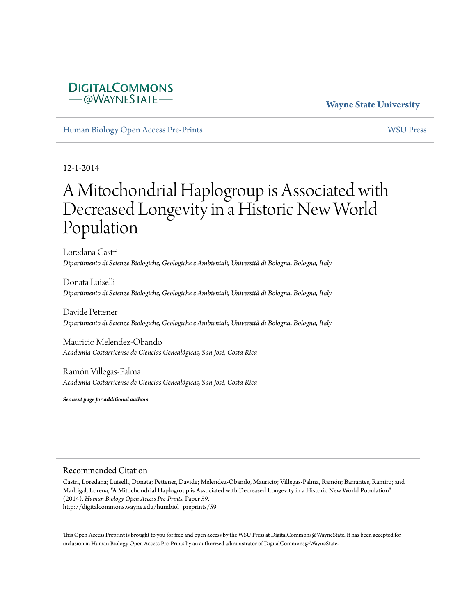### **DIGITALCOMMONS**  $-\omega$ WAYNESTATE-

### **Wayne State University**

[Human Biology Open Access Pre-Prints](http://digitalcommons.wayne.edu/humbiol_preprints) [WSU Press](http://digitalcommons.wayne.edu/wsupress)

12-1-2014

# A Mitochondrial Haplogroup is Associated with Decreased Longevity in a Historic New World Population

Loredana Castri *Dipartimento di Scienze Biologiche, Geologiche e Ambientali, Università di Bologna, Bologna, Italy*

Donata Luiselli *Dipartimento di Scienze Biologiche, Geologiche e Ambientali, Università di Bologna, Bologna, Italy*

Davide Pettener *Dipartimento di Scienze Biologiche, Geologiche e Ambientali, Università di Bologna, Bologna, Italy*

Mauricio Melendez-Obando *Academia Costarricense de Ciencias Genealógicas, San José, Costa Rica*

Ramón Villegas-Palma *Academia Costarricense de Ciencias Genealógicas, San José, Costa Rica*

*See next page for additional authors*

#### Recommended Citation

Castri, Loredana; Luiselli, Donata; Pettener, Davide; Melendez-Obando, Mauricio; Villegas-Palma, Ramón; Barrantes, Ramiro; and Madrigal, Lorena, "A Mitochondrial Haplogroup is Associated with Decreased Longevity in a Historic New World Population" (2014). *Human Biology Open Access Pre-Prints.* Paper 59. http://digitalcommons.wayne.edu/humbiol\_preprints/59

This Open Access Preprint is brought to you for free and open access by the WSU Press at DigitalCommons@WayneState. It has been accepted for inclusion in Human Biology Open Access Pre-Prints by an authorized administrator of DigitalCommons@WayneState.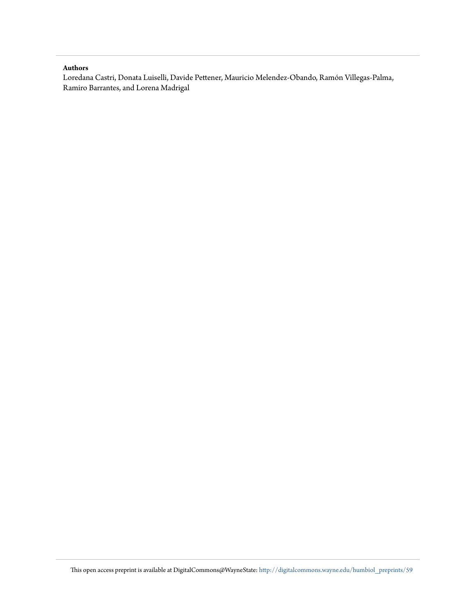#### **Authors**

Loredana Castri, Donata Luiselli, Davide Pettener, Mauricio Melendez-Obando, Ramón Villegas-Palma, Ramiro Barrantes, and Lorena Madrigal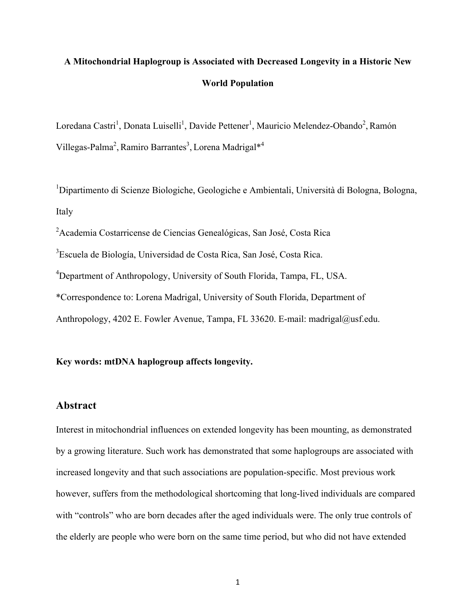## **A Mitochondrial Haplogroup is Associated with Decreased Longevity in a Historic New World Population**

Loredana Castri<sup>1</sup>, Donata Luiselli<sup>1</sup>, Davide Pettener<sup>1</sup>, Mauricio Melendez-Obando<sup>2</sup>, Ramón Villegas-Palma<sup>2</sup>, Ramiro Barrantes<sup>3</sup>, Lorena Madrigal\*<sup>4</sup>

<sup>1</sup>Dipartimento di Scienze Biologiche, Geologiche e Ambientali, Università di Bologna, Bologna, Italy

<sup>2</sup> Academia Costarricense de Ciencias Genealógicas, San José, Costa Rica

<sup>3</sup>Escuela de Biología, Universidad de Costa Rica, San José, Costa Rica.

<sup>4</sup>Department of Anthropology, University of South Florida, Tampa, FL, USA.

\*Correspondence to: Lorena Madrigal, University of South Florida, Department of

Anthropology, 4202 E. Fowler Avenue, Tampa, FL 33620. E-mail: madrigal@usf.edu.

#### **Key words: mtDNA haplogroup affects longevity.**

#### **Abstract**

Interest in mitochondrial influences on extended longevity has been mounting, as demonstrated by a growing literature. Such work has demonstrated that some haplogroups are associated with increased longevity and that such associations are population-specific. Most previous work however, suffers from the methodological shortcoming that long-lived individuals are compared with "controls" who are born decades after the aged individuals were. The only true controls of the elderly are people who were born on the same time period, but who did not have extended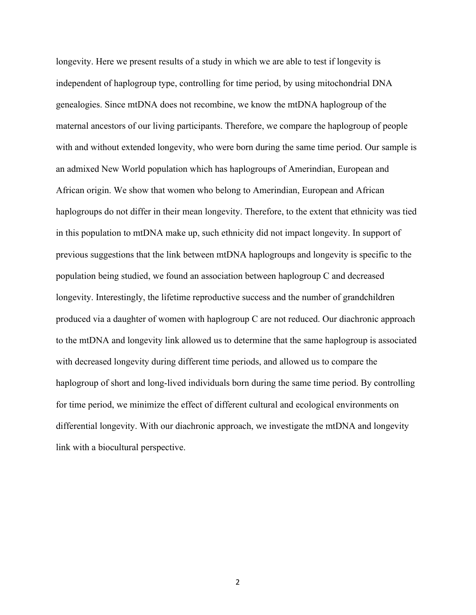longevity. Here we present results of a study in which we are able to test if longevity is independent of haplogroup type, controlling for time period, by using mitochondrial DNA genealogies. Since mtDNA does not recombine, we know the mtDNA haplogroup of the maternal ancestors of our living participants. Therefore, we compare the haplogroup of people with and without extended longevity, who were born during the same time period. Our sample is an admixed New World population which has haplogroups of Amerindian, European and African origin. We show that women who belong to Amerindian, European and African haplogroups do not differ in their mean longevity. Therefore, to the extent that ethnicity was tied in this population to mtDNA make up, such ethnicity did not impact longevity. In support of previous suggestions that the link between mtDNA haplogroups and longevity is specific to the population being studied, we found an association between haplogroup C and decreased longevity. Interestingly, the lifetime reproductive success and the number of grandchildren produced via a daughter of women with haplogroup C are not reduced. Our diachronic approach to the mtDNA and longevity link allowed us to determine that the same haplogroup is associated with decreased longevity during different time periods, and allowed us to compare the haplogroup of short and long-lived individuals born during the same time period. By controlling for time period, we minimize the effect of different cultural and ecological environments on differential longevity. With our diachronic approach, we investigate the mtDNA and longevity link with a biocultural perspective.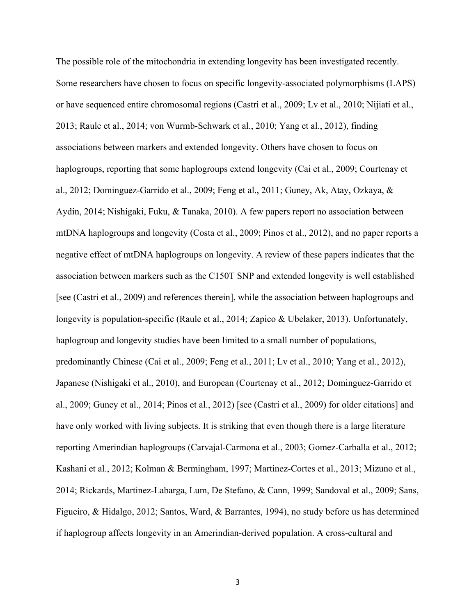The possible role of the mitochondria in extending longevity has been investigated recently. Some researchers have chosen to focus on specific longevity-associated polymorphisms (LAPS) or have sequenced entire chromosomal regions (Castri et al., 2009; Lv et al., 2010; Nijiati et al., 2013; Raule et al., 2014; von Wurmb-Schwark et al., 2010; Yang et al., 2012), finding associations between markers and extended longevity. Others have chosen to focus on haplogroups, reporting that some haplogroups extend longevity (Cai et al., 2009; Courtenay et al., 2012; Dominguez-Garrido et al., 2009; Feng et al., 2011; Guney, Ak, Atay, Ozkaya, & Aydin, 2014; Nishigaki, Fuku, & Tanaka, 2010). A few papers report no association between mtDNA haplogroups and longevity (Costa et al., 2009; Pinos et al., 2012), and no paper reports a negative effect of mtDNA haplogroups on longevity. A review of these papers indicates that the association between markers such as the C150T SNP and extended longevity is well established [see (Castri et al., 2009) and references therein], while the association between haplogroups and longevity is population-specific (Raule et al., 2014; Zapico & Ubelaker, 2013). Unfortunately, haplogroup and longevity studies have been limited to a small number of populations, predominantly Chinese (Cai et al., 2009; Feng et al., 2011; Lv et al., 2010; Yang et al., 2012), Japanese (Nishigaki et al., 2010), and European (Courtenay et al., 2012; Dominguez-Garrido et al., 2009; Guney et al., 2014; Pinos et al., 2012) [see (Castri et al., 2009) for older citations] and have only worked with living subjects. It is striking that even though there is a large literature reporting Amerindian haplogroups (Carvajal-Carmona et al., 2003; Gomez-Carballa et al., 2012; Kashani et al., 2012; Kolman & Bermingham, 1997; Martinez-Cortes et al., 2013; Mizuno et al., 2014; Rickards, Martinez-Labarga, Lum, De Stefano, & Cann, 1999; Sandoval et al., 2009; Sans, Figueiro, & Hidalgo, 2012; Santos, Ward, & Barrantes, 1994), no study before us has determined if haplogroup affects longevity in an Amerindian-derived population. A cross-cultural and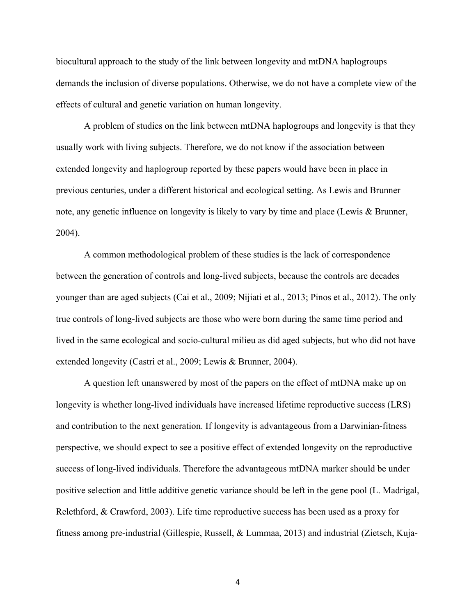biocultural approach to the study of the link between longevity and mtDNA haplogroups demands the inclusion of diverse populations. Otherwise, we do not have a complete view of the effects of cultural and genetic variation on human longevity.

A problem of studies on the link between mtDNA haplogroups and longevity is that they usually work with living subjects. Therefore, we do not know if the association between extended longevity and haplogroup reported by these papers would have been in place in previous centuries, under a different historical and ecological setting. As Lewis and Brunner note, any genetic influence on longevity is likely to vary by time and place (Lewis & Brunner, 2004).

A common methodological problem of these studies is the lack of correspondence between the generation of controls and long-lived subjects, because the controls are decades younger than are aged subjects (Cai et al., 2009; Nijiati et al., 2013; Pinos et al., 2012). The only true controls of long-lived subjects are those who were born during the same time period and lived in the same ecological and socio-cultural milieu as did aged subjects, but who did not have extended longevity (Castri et al., 2009; Lewis & Brunner, 2004).

A question left unanswered by most of the papers on the effect of mtDNA make up on longevity is whether long-lived individuals have increased lifetime reproductive success (LRS) and contribution to the next generation. If longevity is advantageous from a Darwinian-fitness perspective, we should expect to see a positive effect of extended longevity on the reproductive success of long-lived individuals. Therefore the advantageous mtDNA marker should be under positive selection and little additive genetic variance should be left in the gene pool (L. Madrigal, Relethford, & Crawford, 2003). Life time reproductive success has been used as a proxy for fitness among pre-industrial (Gillespie, Russell, & Lummaa, 2013) and industrial (Zietsch, Kuja-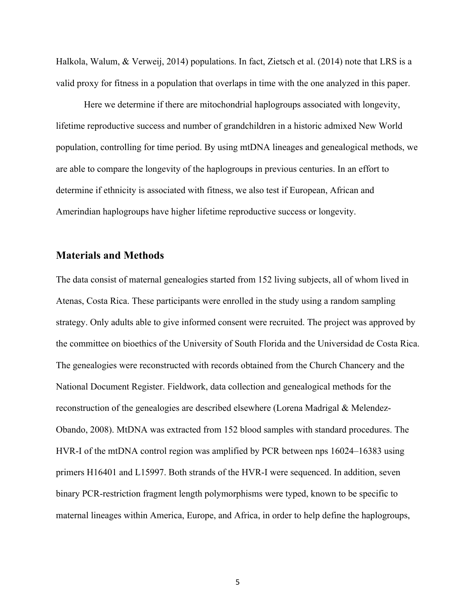Halkola, Walum, & Verweij, 2014) populations. In fact, Zietsch et al. (2014) note that LRS is a valid proxy for fitness in a population that overlaps in time with the one analyzed in this paper.

Here we determine if there are mitochondrial haplogroups associated with longevity, lifetime reproductive success and number of grandchildren in a historic admixed New World population, controlling for time period. By using mtDNA lineages and genealogical methods, we are able to compare the longevity of the haplogroups in previous centuries. In an effort to determine if ethnicity is associated with fitness, we also test if European, African and Amerindian haplogroups have higher lifetime reproductive success or longevity.

#### **Materials and Methods**

The data consist of maternal genealogies started from 152 living subjects, all of whom lived in Atenas, Costa Rica. These participants were enrolled in the study using a random sampling strategy. Only adults able to give informed consent were recruited. The project was approved by the committee on bioethics of the University of South Florida and the Universidad de Costa Rica. The genealogies were reconstructed with records obtained from the Church Chancery and the National Document Register. Fieldwork, data collection and genealogical methods for the reconstruction of the genealogies are described elsewhere (Lorena Madrigal & Melendez-Obando, 2008). MtDNA was extracted from 152 blood samples with standard procedures. The HVR-I of the mtDNA control region was amplified by PCR between nps 16024–16383 using primers H16401 and L15997. Both strands of the HVR-I were sequenced. In addition, seven binary PCR-restriction fragment length polymorphisms were typed, known to be specific to maternal lineages within America, Europe, and Africa, in order to help define the haplogroups,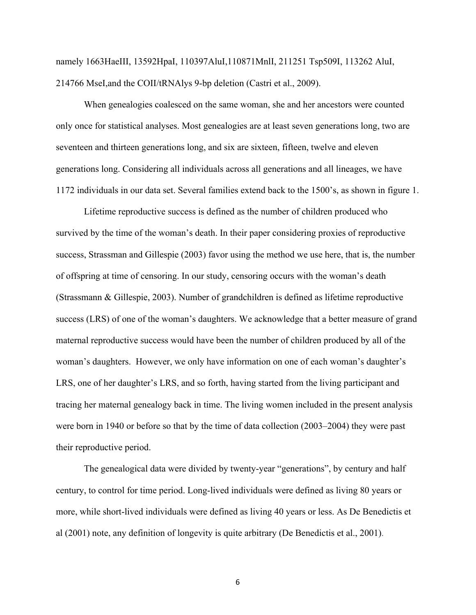namely 1663HaeIII, 13592HpaI, 110397AluI,110871MnlI, 211251 Tsp509I, 113262 AluI, 214766 MseI,and the COII/tRNAlys 9-bp deletion (Castri et al., 2009).

When genealogies coalesced on the same woman, she and her ancestors were counted only once for statistical analyses. Most genealogies are at least seven generations long, two are seventeen and thirteen generations long, and six are sixteen, fifteen, twelve and eleven generations long. Considering all individuals across all generations and all lineages, we have 1172 individuals in our data set. Several families extend back to the 1500's, as shown in figure 1.

Lifetime reproductive success is defined as the number of children produced who survived by the time of the woman's death. In their paper considering proxies of reproductive success, Strassman and Gillespie (2003) favor using the method we use here, that is, the number of offspring at time of censoring. In our study, censoring occurs with the woman's death (Strassmann & Gillespie, 2003). Number of grandchildren is defined as lifetime reproductive success (LRS) of one of the woman's daughters. We acknowledge that a better measure of grand maternal reproductive success would have been the number of children produced by all of the woman's daughters. However, we only have information on one of each woman's daughter's LRS, one of her daughter's LRS, and so forth, having started from the living participant and tracing her maternal genealogy back in time. The living women included in the present analysis were born in 1940 or before so that by the time of data collection (2003–2004) they were past their reproductive period.

The genealogical data were divided by twenty-year "generations", by century and half century, to control for time period. Long-lived individuals were defined as living 80 years or more, while short-lived individuals were defined as living 40 years or less. As De Benedictis et al (2001) note, any definition of longevity is quite arbitrary (De Benedictis et al., 2001).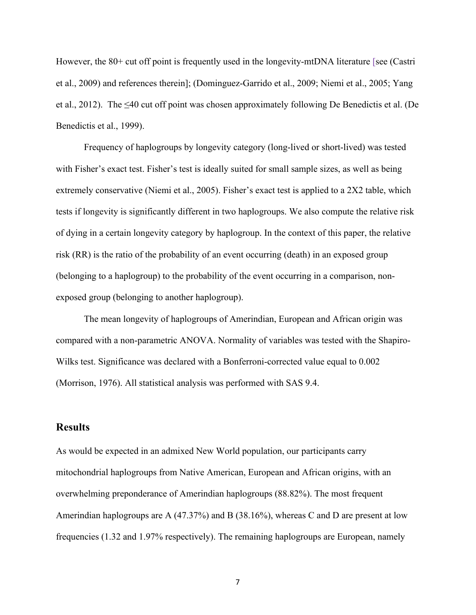However, the 80+ cut off point is frequently used in the longevity-mtDNA literature [see (Castri et al., 2009) and references therein]; (Dominguez-Garrido et al., 2009; Niemi et al., 2005; Yang et al., 2012). The  $\leq 40$  cut off point was chosen approximately following De Benedictis et al. (De Benedictis et al., 1999).

Frequency of haplogroups by longevity category (long-lived or short-lived) was tested with Fisher's exact test. Fisher's test is ideally suited for small sample sizes, as well as being extremely conservative (Niemi et al., 2005). Fisher's exact test is applied to a 2X2 table, which tests if longevity is significantly different in two haplogroups. We also compute the relative risk of dying in a certain longevity category by haplogroup. In the context of this paper, the relative risk (RR) is the ratio of the probability of an event occurring (death) in an exposed group (belonging to a haplogroup) to the probability of the event occurring in a comparison, nonexposed group (belonging to another haplogroup).

The mean longevity of haplogroups of Amerindian, European and African origin was compared with a non-parametric ANOVA. Normality of variables was tested with the Shapiro-Wilks test. Significance was declared with a Bonferroni-corrected value equal to 0.002 (Morrison, 1976). All statistical analysis was performed with SAS 9.4.

#### **Results**

As would be expected in an admixed New World population, our participants carry mitochondrial haplogroups from Native American, European and African origins, with an overwhelming preponderance of Amerindian haplogroups (88.82%). The most frequent Amerindian haplogroups are A (47.37%) and B (38.16%), whereas C and D are present at low frequencies (1.32 and 1.97% respectively). The remaining haplogroups are European, namely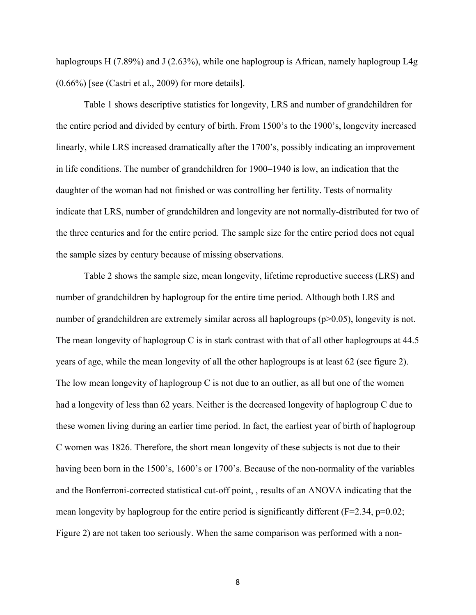haplogroups H (7.89%) and J (2.63%), while one haplogroup is African, namely haplogroup L4g  $(0.66\%)$  [see (Castri et al., 2009) for more details].

Table 1 shows descriptive statistics for longevity, LRS and number of grandchildren for the entire period and divided by century of birth. From 1500's to the 1900's, longevity increased linearly, while LRS increased dramatically after the 1700's, possibly indicating an improvement in life conditions. The number of grandchildren for 1900–1940 is low, an indication that the daughter of the woman had not finished or was controlling her fertility. Tests of normality indicate that LRS, number of grandchildren and longevity are not normally-distributed for two of the three centuries and for the entire period. The sample size for the entire period does not equal the sample sizes by century because of missing observations.

Table 2 shows the sample size, mean longevity, lifetime reproductive success (LRS) and number of grandchildren by haplogroup for the entire time period. Although both LRS and number of grandchildren are extremely similar across all haplogroups ( $p>0.05$ ), longevity is not. The mean longevity of haplogroup C is in stark contrast with that of all other haplogroups at 44.5 years of age, while the mean longevity of all the other haplogroups is at least 62 (see figure 2). The low mean longevity of haplogroup C is not due to an outlier, as all but one of the women had a longevity of less than 62 years. Neither is the decreased longevity of haplogroup C due to these women living during an earlier time period. In fact, the earliest year of birth of haplogroup C women was 1826. Therefore, the short mean longevity of these subjects is not due to their having been born in the 1500's, 1600's or 1700's. Because of the non-normality of the variables and the Bonferroni-corrected statistical cut-off point, , results of an ANOVA indicating that the mean longevity by haplogroup for the entire period is significantly different  $(F=2.34, p=0.02;$ Figure 2) are not taken too seriously. When the same comparison was performed with a non-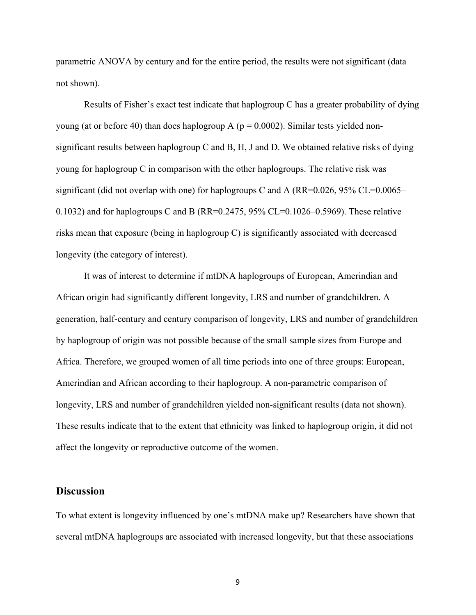parametric ANOVA by century and for the entire period, the results were not significant (data not shown).

Results of Fisher's exact test indicate that haplogroup C has a greater probability of dying young (at or before 40) than does haplogroup A ( $p = 0.0002$ ). Similar tests yielded nonsignificant results between haplogroup C and B, H, J and D. We obtained relative risks of dying young for haplogroup C in comparison with the other haplogroups. The relative risk was significant (did not overlap with one) for haplogroups C and A ( $RR=0.026$ ,  $95\%$  CL=0.0065– 0.1032) and for haplogroups C and B (RR=0.2475, 95% CL=0.1026–0.5969). These relative risks mean that exposure (being in haplogroup C) is significantly associated with decreased longevity (the category of interest).

It was of interest to determine if mtDNA haplogroups of European, Amerindian and African origin had significantly different longevity, LRS and number of grandchildren. A generation, half-century and century comparison of longevity, LRS and number of grandchildren by haplogroup of origin was not possible because of the small sample sizes from Europe and Africa. Therefore, we grouped women of all time periods into one of three groups: European, Amerindian and African according to their haplogroup. A non-parametric comparison of longevity, LRS and number of grandchildren yielded non-significant results (data not shown). These results indicate that to the extent that ethnicity was linked to haplogroup origin, it did not affect the longevity or reproductive outcome of the women.

#### **Discussion**

To what extent is longevity influenced by one's mtDNA make up? Researchers have shown that several mtDNA haplogroups are associated with increased longevity, but that these associations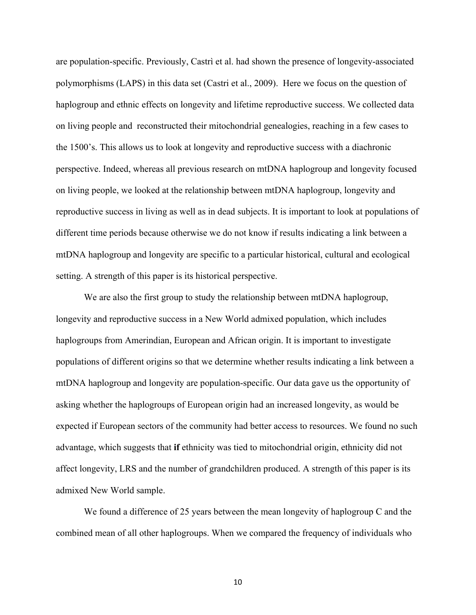are population-specific. Previously, Castrì et al. had shown the presence of longevity-associated polymorphisms (LAPS) in this data set (Castri et al., 2009). Here we focus on the question of haplogroup and ethnic effects on longevity and lifetime reproductive success. We collected data on living people and reconstructed their mitochondrial genealogies, reaching in a few cases to the 1500's. This allows us to look at longevity and reproductive success with a diachronic perspective. Indeed, whereas all previous research on mtDNA haplogroup and longevity focused on living people, we looked at the relationship between mtDNA haplogroup, longevity and reproductive success in living as well as in dead subjects. It is important to look at populations of different time periods because otherwise we do not know if results indicating a link between a mtDNA haplogroup and longevity are specific to a particular historical, cultural and ecological setting. A strength of this paper is its historical perspective.

We are also the first group to study the relationship between mtDNA haplogroup, longevity and reproductive success in a New World admixed population, which includes haplogroups from Amerindian, European and African origin. It is important to investigate populations of different origins so that we determine whether results indicating a link between a mtDNA haplogroup and longevity are population-specific. Our data gave us the opportunity of asking whether the haplogroups of European origin had an increased longevity, as would be expected if European sectors of the community had better access to resources. We found no such advantage, which suggests that **if** ethnicity was tied to mitochondrial origin, ethnicity did not affect longevity, LRS and the number of grandchildren produced. A strength of this paper is its admixed New World sample.

We found a difference of 25 years between the mean longevity of haplogroup C and the combined mean of all other haplogroups. When we compared the frequency of individuals who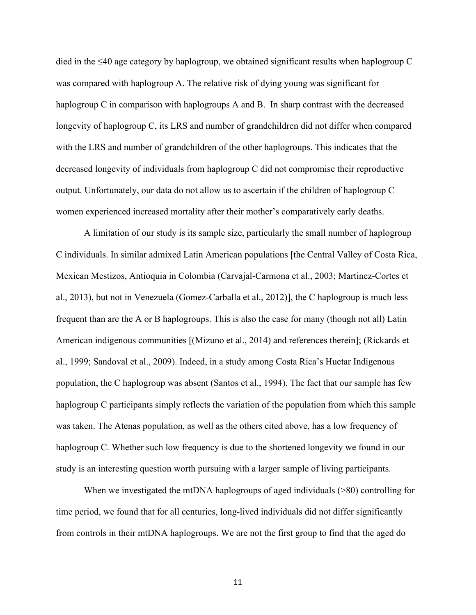died in the  $\leq 40$  age category by haplogroup, we obtained significant results when haplogroup C was compared with haplogroup A. The relative risk of dying young was significant for haplogroup C in comparison with haplogroups A and B. In sharp contrast with the decreased longevity of haplogroup C, its LRS and number of grandchildren did not differ when compared with the LRS and number of grandchildren of the other haplogroups. This indicates that the decreased longevity of individuals from haplogroup C did not compromise their reproductive output. Unfortunately, our data do not allow us to ascertain if the children of haplogroup C women experienced increased mortality after their mother's comparatively early deaths.

A limitation of our study is its sample size, particularly the small number of haplogroup C individuals. In similar admixed Latin American populations [the Central Valley of Costa Rica, Mexican Mestizos, Antioquia in Colombia (Carvajal-Carmona et al., 2003; Martinez-Cortes et al., 2013), but not in Venezuela (Gomez-Carballa et al., 2012)], the C haplogroup is much less frequent than are the A or B haplogroups. This is also the case for many (though not all) Latin American indigenous communities [(Mizuno et al., 2014) and references therein]; (Rickards et al., 1999; Sandoval et al., 2009). Indeed, in a study among Costa Rica's Huetar Indigenous population, the C haplogroup was absent (Santos et al., 1994). The fact that our sample has few haplogroup C participants simply reflects the variation of the population from which this sample was taken. The Atenas population, as well as the others cited above, has a low frequency of haplogroup C. Whether such low frequency is due to the shortened longevity we found in our study is an interesting question worth pursuing with a larger sample of living participants.

When we investigated the mtDNA haplogroups of aged individuals ( $>80$ ) controlling for time period, we found that for all centuries, long-lived individuals did not differ significantly from controls in their mtDNA haplogroups. We are not the first group to find that the aged do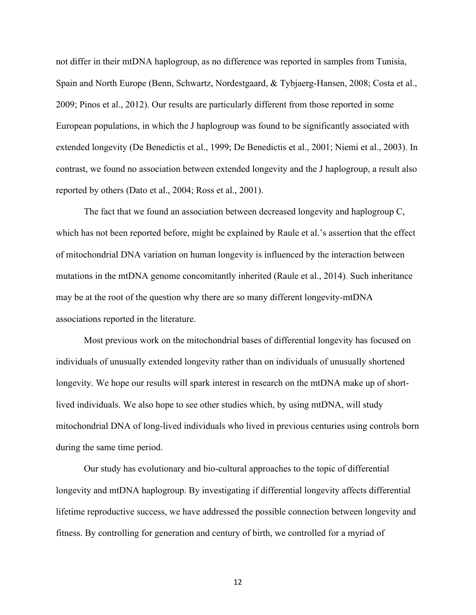not differ in their mtDNA haplogroup, as no difference was reported in samples from Tunisia, Spain and North Europe (Benn, Schwartz, Nordestgaard, & Tybjaerg-Hansen, 2008; Costa et al., 2009; Pinos et al., 2012). Our results are particularly different from those reported in some European populations, in which the J haplogroup was found to be significantly associated with extended longevity (De Benedictis et al., 1999; De Benedictis et al., 2001; Niemi et al., 2003). In contrast, we found no association between extended longevity and the J haplogroup, a result also reported by others (Dato et al., 2004; Ross et al., 2001).

The fact that we found an association between decreased longevity and haplogroup C, which has not been reported before, might be explained by Raule et al.'s assertion that the effect of mitochondrial DNA variation on human longevity is influenced by the interaction between mutations in the mtDNA genome concomitantly inherited (Raule et al., 2014). Such inheritance may be at the root of the question why there are so many different longevity-mtDNA associations reported in the literature.

Most previous work on the mitochondrial bases of differential longevity has focused on individuals of unusually extended longevity rather than on individuals of unusually shortened longevity. We hope our results will spark interest in research on the mtDNA make up of shortlived individuals. We also hope to see other studies which, by using mtDNA, will study mitochondrial DNA of long-lived individuals who lived in previous centuries using controls born during the same time period.

Our study has evolutionary and bio-cultural approaches to the topic of differential longevity and mtDNA haplogroup. By investigating if differential longevity affects differential lifetime reproductive success, we have addressed the possible connection between longevity and fitness. By controlling for generation and century of birth, we controlled for a myriad of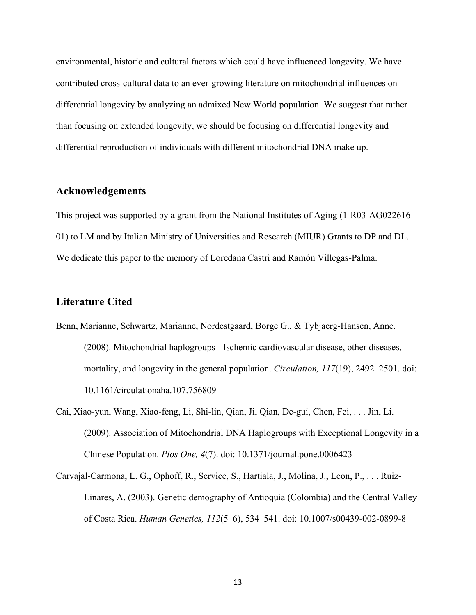environmental, historic and cultural factors which could have influenced longevity. We have contributed cross-cultural data to an ever-growing literature on mitochondrial influences on differential longevity by analyzing an admixed New World population. We suggest that rather than focusing on extended longevity, we should be focusing on differential longevity and differential reproduction of individuals with different mitochondrial DNA make up.

#### **Acknowledgements**

This project was supported by a grant from the National Institutes of Aging (1-R03-AG022616- 01) to LM and by Italian Ministry of Universities and Research (MIUR) Grants to DP and DL. We dedicate this paper to the memory of Loredana Castrì and Ramón Villegas-Palma.

### **Literature Cited**

- Benn, Marianne, Schwartz, Marianne, Nordestgaard, Borge G., & Tybjaerg-Hansen, Anne. (2008). Mitochondrial haplogroups - Ischemic cardiovascular disease, other diseases, mortality, and longevity in the general population. *Circulation, 117*(19), 2492–2501. doi: 10.1161/circulationaha.107.756809
- Cai, Xiao-yun, Wang, Xiao-feng, Li, Shi-lin, Qian, Ji, Qian, De-gui, Chen, Fei, . . . Jin, Li. (2009). Association of Mitochondrial DNA Haplogroups with Exceptional Longevity in a Chinese Population. *Plos One, 4*(7). doi: 10.1371/journal.pone.0006423
- Carvajal-Carmona, L. G., Ophoff, R., Service, S., Hartiala, J., Molina, J., Leon, P., . . . Ruiz-Linares, A. (2003). Genetic demography of Antioquia (Colombia) and the Central Valley of Costa Rica. *Human Genetics, 112*(5–6), 534–541. doi: 10.1007/s00439-002-0899-8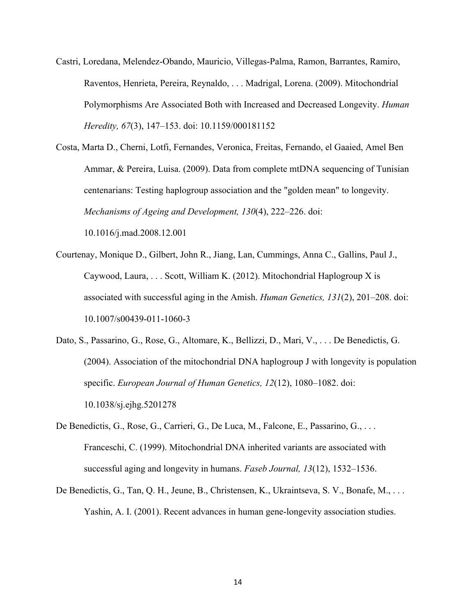- Castri, Loredana, Melendez-Obando, Mauricio, Villegas-Palma, Ramon, Barrantes, Ramiro, Raventos, Henrieta, Pereira, Reynaldo, . . . Madrigal, Lorena. (2009). Mitochondrial Polymorphisms Are Associated Both with Increased and Decreased Longevity. *Human Heredity, 67*(3), 147–153. doi: 10.1159/000181152
- Costa, Marta D., Cherni, Lotfi, Fernandes, Veronica, Freitas, Fernando, el Gaaied, Amel Ben Ammar, & Pereira, Luisa. (2009). Data from complete mtDNA sequencing of Tunisian centenarians: Testing haplogroup association and the "golden mean" to longevity. *Mechanisms of Ageing and Development, 130*(4), 222–226. doi: 10.1016/j.mad.2008.12.001
- Courtenay, Monique D., Gilbert, John R., Jiang, Lan, Cummings, Anna C., Gallins, Paul J., Caywood, Laura, . . . Scott, William K. (2012). Mitochondrial Haplogroup X is associated with successful aging in the Amish. *Human Genetics, 131*(2), 201–208. doi: 10.1007/s00439-011-1060-3
- Dato, S., Passarino, G., Rose, G., Altomare, K., Bellizzi, D., Mari, V., . . . De Benedictis, G. (2004). Association of the mitochondrial DNA haplogroup J with longevity is population specific. *European Journal of Human Genetics, 12*(12), 1080–1082. doi: 10.1038/sj.ejhg.5201278
- De Benedictis, G., Rose, G., Carrieri, G., De Luca, M., Falcone, E., Passarino, G., . . . Franceschi, C. (1999). Mitochondrial DNA inherited variants are associated with successful aging and longevity in humans. *Faseb Journal, 13*(12), 1532–1536.
- De Benedictis, G., Tan, Q. H., Jeune, B., Christensen, K., Ukraintseva, S. V., Bonafe, M., . . . Yashin, A. I. (2001). Recent advances in human gene-longevity association studies.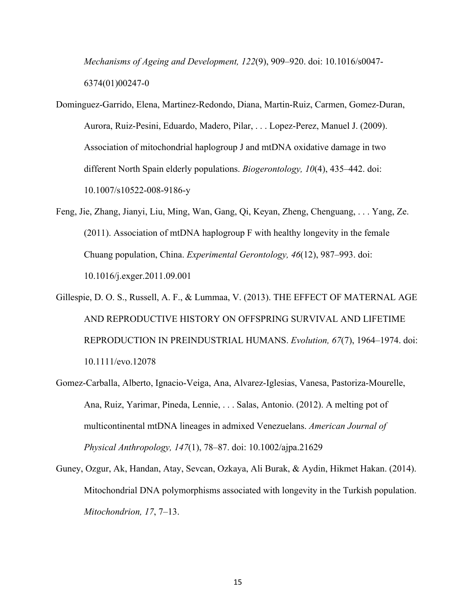*Mechanisms of Ageing and Development, 122*(9), 909–920. doi: 10.1016/s0047- 6374(01)00247-0

- Dominguez-Garrido, Elena, Martinez-Redondo, Diana, Martin-Ruiz, Carmen, Gomez-Duran, Aurora, Ruiz-Pesini, Eduardo, Madero, Pilar, . . . Lopez-Perez, Manuel J. (2009). Association of mitochondrial haplogroup J and mtDNA oxidative damage in two different North Spain elderly populations. *Biogerontology, 10*(4), 435–442. doi: 10.1007/s10522-008-9186-y
- Feng, Jie, Zhang, Jianyi, Liu, Ming, Wan, Gang, Qi, Keyan, Zheng, Chenguang, . . . Yang, Ze. (2011). Association of mtDNA haplogroup F with healthy longevity in the female Chuang population, China. *Experimental Gerontology, 46*(12), 987–993. doi: 10.1016/j.exger.2011.09.001
- Gillespie, D. O. S., Russell, A. F., & Lummaa, V. (2013). THE EFFECT OF MATERNAL AGE AND REPRODUCTIVE HISTORY ON OFFSPRING SURVIVAL AND LIFETIME REPRODUCTION IN PREINDUSTRIAL HUMANS. *Evolution, 67*(7), 1964–1974. doi: 10.1111/evo.12078
- Gomez-Carballa, Alberto, Ignacio-Veiga, Ana, Alvarez-Iglesias, Vanesa, Pastoriza-Mourelle, Ana, Ruiz, Yarimar, Pineda, Lennie, . . . Salas, Antonio. (2012). A melting pot of multicontinental mtDNA lineages in admixed Venezuelans. *American Journal of Physical Anthropology, 147*(1), 78–87. doi: 10.1002/ajpa.21629
- Guney, Ozgur, Ak, Handan, Atay, Sevcan, Ozkaya, Ali Burak, & Aydin, Hikmet Hakan. (2014). Mitochondrial DNA polymorphisms associated with longevity in the Turkish population. *Mitochondrion, 17*, 7–13.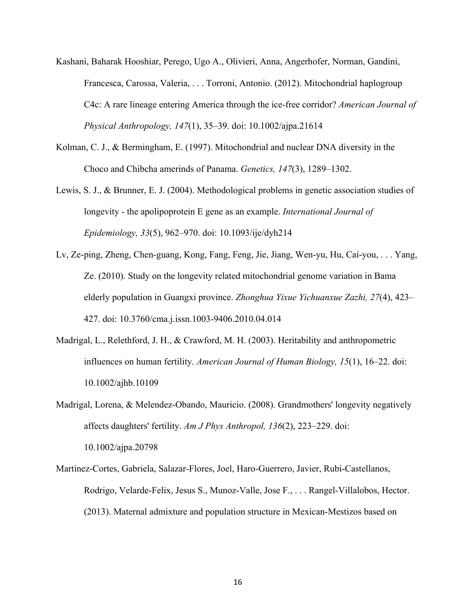- Kashani, Baharak Hooshiar, Perego, Ugo A., Olivieri, Anna, Angerhofer, Norman, Gandini, Francesca, Carossa, Valeria, . . . Torroni, Antonio. (2012). Mitochondrial haplogroup C4c: A rare lineage entering America through the ice-free corridor? *American Journal of Physical Anthropology, 147*(1), 35–39. doi: 10.1002/ajpa.21614
- Kolman, C. J., & Bermingham, E. (1997). Mitochondrial and nuclear DNA diversity in the Choco and Chibcha amerinds of Panama. *Genetics, 147*(3), 1289–1302.
- Lewis, S. J., & Brunner, E. J. (2004). Methodological problems in genetic association studies of longevity - the apolipoprotein E gene as an example. *International Journal of Epidemiology, 33*(5), 962–970. doi: 10.1093/ije/dyh214
- Lv, Ze-ping, Zheng, Chen-guang, Kong, Fang, Feng, Jie, Jiang, Wen-yu, Hu, Cai-you, . . . Yang, Ze. (2010). Study on the longevity related mitochondrial genome variation in Bama elderly population in Guangxi province. *Zhonghua Yixue Yichuanxue Zazhi, 27*(4), 423– 427. doi: 10.3760/cma.j.issn.1003-9406.2010.04.014
- Madrigal, L., Relethford, J. H., & Crawford, M. H. (2003). Heritability and anthropometric influences on human fertility. *American Journal of Human Biology, 15*(1), 16–22. doi: 10.1002/ajhb.10109
- Madrigal, Lorena, & Melendez-Obando, Mauricio. (2008). Grandmothers' longevity negatively affects daughters' fertility. *Am J Phys Anthropol, 136*(2), 223–229. doi: 10.1002/ajpa.20798
- Martinez-Cortes, Gabriela, Salazar-Flores, Joel, Haro-Guerrero, Javier, Rubi-Castellanos, Rodrigo, Velarde-Felix, Jesus S., Munoz-Valle, Jose F., . . . Rangel-Villalobos, Hector. (2013). Maternal admixture and population structure in Mexican-Mestizos based on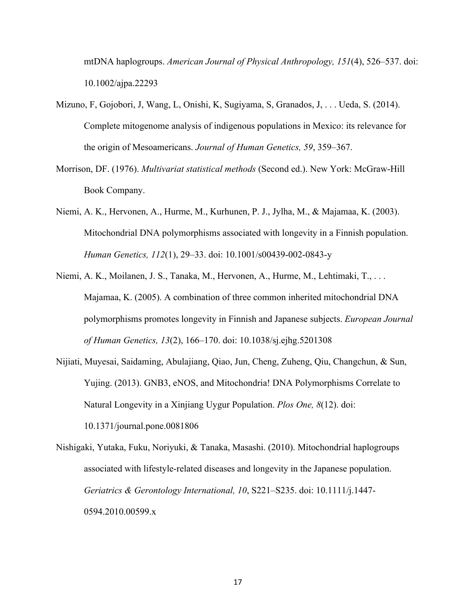mtDNA haplogroups. *American Journal of Physical Anthropology, 151*(4), 526–537. doi: 10.1002/ajpa.22293

- Mizuno, F, Gojobori, J, Wang, L, Onishi, K, Sugiyama, S, Granados, J, . . . Ueda, S. (2014). Complete mitogenome analysis of indigenous populations in Mexico: its relevance for the origin of Mesoamericans. *Journal of Human Genetics, 59*, 359–367.
- Morrison, DF. (1976). *Multivariat statistical methods* (Second ed.). New York: McGraw-Hill Book Company.
- Niemi, A. K., Hervonen, A., Hurme, M., Kurhunen, P. J., Jylha, M., & Majamaa, K. (2003). Mitochondrial DNA polymorphisms associated with longevity in a Finnish population. *Human Genetics, 112*(1), 29–33. doi: 10.1001/s00439-002-0843-y
- Niemi, A. K., Moilanen, J. S., Tanaka, M., Hervonen, A., Hurme, M., Lehtimaki, T., . . . Majamaa, K. (2005). A combination of three common inherited mitochondrial DNA polymorphisms promotes longevity in Finnish and Japanese subjects. *European Journal of Human Genetics, 13*(2), 166–170. doi: 10.1038/sj.ejhg.5201308
- Nijiati, Muyesai, Saidaming, Abulajiang, Qiao, Jun, Cheng, Zuheng, Qiu, Changchun, & Sun, Yujing. (2013). GNB3, eNOS, and Mitochondria! DNA Polymorphisms Correlate to Natural Longevity in a Xinjiang Uygur Population. *Plos One, 8*(12). doi: 10.1371/journal.pone.0081806
- Nishigaki, Yutaka, Fuku, Noriyuki, & Tanaka, Masashi. (2010). Mitochondrial haplogroups associated with lifestyle-related diseases and longevity in the Japanese population. *Geriatrics & Gerontology International, 10*, S221–S235. doi: 10.1111/j.1447- 0594.2010.00599.x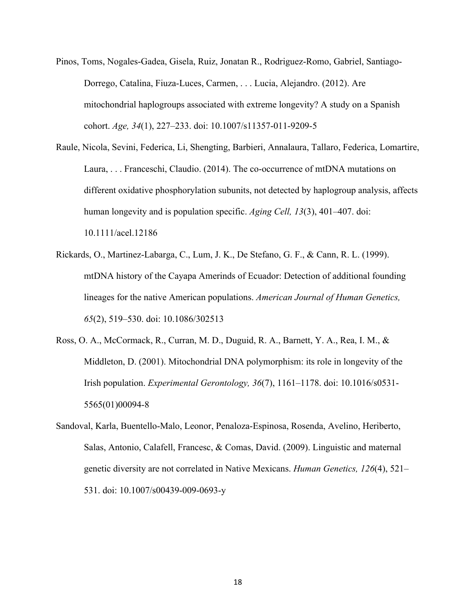- Pinos, Toms, Nogales-Gadea, Gisela, Ruiz, Jonatan R., Rodriguez-Romo, Gabriel, Santiago-Dorrego, Catalina, Fiuza-Luces, Carmen, . . . Lucia, Alejandro. (2012). Are mitochondrial haplogroups associated with extreme longevity? A study on a Spanish cohort. *Age, 34*(1), 227–233. doi: 10.1007/s11357-011-9209-5
- Raule, Nicola, Sevini, Federica, Li, Shengting, Barbieri, Annalaura, Tallaro, Federica, Lomartire, Laura, . . . Franceschi, Claudio. (2014). The co-occurrence of mtDNA mutations on different oxidative phosphorylation subunits, not detected by haplogroup analysis, affects human longevity and is population specific. *Aging Cell, 13*(3), 401–407. doi: 10.1111/acel.12186
- Rickards, O., Martinez-Labarga, C., Lum, J. K., De Stefano, G. F., & Cann, R. L. (1999). mtDNA history of the Cayapa Amerinds of Ecuador: Detection of additional founding lineages for the native American populations. *American Journal of Human Genetics, 65*(2), 519–530. doi: 10.1086/302513
- Ross, O. A., McCormack, R., Curran, M. D., Duguid, R. A., Barnett, Y. A., Rea, I. M., & Middleton, D. (2001). Mitochondrial DNA polymorphism: its role in longevity of the Irish population. *Experimental Gerontology, 36*(7), 1161–1178. doi: 10.1016/s0531- 5565(01)00094-8
- Sandoval, Karla, Buentello-Malo, Leonor, Penaloza-Espinosa, Rosenda, Avelino, Heriberto, Salas, Antonio, Calafell, Francesc, & Comas, David. (2009). Linguistic and maternal genetic diversity are not correlated in Native Mexicans. *Human Genetics, 126*(4), 521– 531. doi: 10.1007/s00439-009-0693-y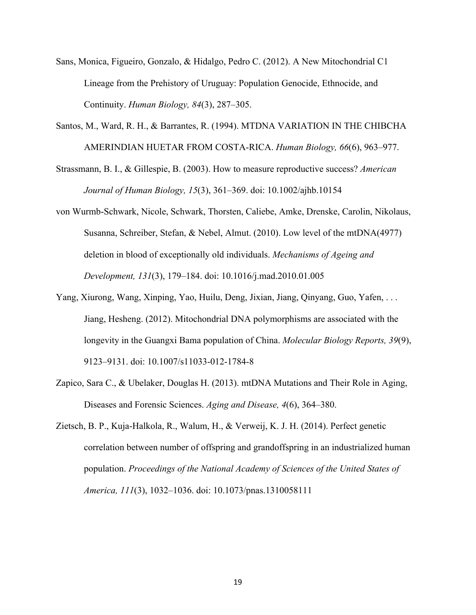- Sans, Monica, Figueiro, Gonzalo, & Hidalgo, Pedro C. (2012). A New Mitochondrial C1 Lineage from the Prehistory of Uruguay: Population Genocide, Ethnocide, and Continuity. *Human Biology, 84*(3), 287–305.
- Santos, M., Ward, R. H., & Barrantes, R. (1994). MTDNA VARIATION IN THE CHIBCHA AMERINDIAN HUETAR FROM COSTA-RICA. *Human Biology, 66*(6), 963–977.
- Strassmann, B. I., & Gillespie, B. (2003). How to measure reproductive success? *American Journal of Human Biology, 15*(3), 361–369. doi: 10.1002/ajhb.10154
- von Wurmb-Schwark, Nicole, Schwark, Thorsten, Caliebe, Amke, Drenske, Carolin, Nikolaus, Susanna, Schreiber, Stefan, & Nebel, Almut. (2010). Low level of the mtDNA(4977) deletion in blood of exceptionally old individuals. *Mechanisms of Ageing and Development, 131*(3), 179–184. doi: 10.1016/j.mad.2010.01.005
- Yang, Xiurong, Wang, Xinping, Yao, Huilu, Deng, Jixian, Jiang, Qinyang, Guo, Yafen, . . . Jiang, Hesheng. (2012). Mitochondrial DNA polymorphisms are associated with the longevity in the Guangxi Bama population of China. *Molecular Biology Reports, 39*(9), 9123–9131. doi: 10.1007/s11033-012-1784-8
- Zapico, Sara C., & Ubelaker, Douglas H. (2013). mtDNA Mutations and Their Role in Aging, Diseases and Forensic Sciences. *Aging and Disease, 4*(6), 364–380.
- Zietsch, B. P., Kuja-Halkola, R., Walum, H., & Verweij, K. J. H. (2014). Perfect genetic correlation between number of offspring and grandoffspring in an industrialized human population. *Proceedings of the National Academy of Sciences of the United States of America, 111*(3), 1032–1036. doi: 10.1073/pnas.1310058111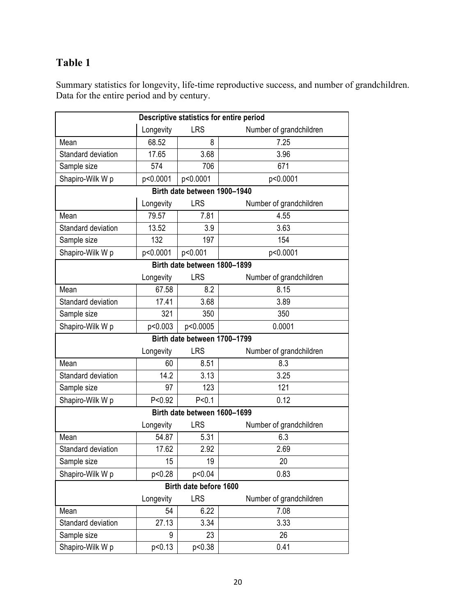### **Table 1**

Summary statistics for longevity, life-time reproductive success, and number of grandchildren. Data for the entire period and by century.

| Descriptive statistics for entire period |                                                    |            |                         |  |  |  |
|------------------------------------------|----------------------------------------------------|------------|-------------------------|--|--|--|
|                                          | Longevity                                          | <b>LRS</b> | Number of grandchildren |  |  |  |
| Mean                                     | 68.52                                              | 8          | 7.25                    |  |  |  |
| Standard deviation                       | 17.65                                              | 3.68       | 3.96                    |  |  |  |
| Sample size                              | 574                                                | 706        | 671                     |  |  |  |
| Shapiro-Wilk W p                         | p<0.0001                                           | p<0.0001   | p<0.0001                |  |  |  |
| Birth date between 1900-1940             |                                                    |            |                         |  |  |  |
|                                          | <b>LRS</b><br>Longevity                            |            | Number of grandchildren |  |  |  |
| Mean                                     | 79.57                                              | 7.81       | 4.55                    |  |  |  |
| Standard deviation                       | 13.52                                              | 3.9        | 3.63                    |  |  |  |
| Sample size                              | 132                                                | 197        | 154                     |  |  |  |
| Shapiro-Wilk W p                         | p<0.0001                                           | p<0.001    | p<0.0001                |  |  |  |
| Birth date between 1800-1899             |                                                    |            |                         |  |  |  |
|                                          | <b>LRS</b><br>Number of grandchildren<br>Longevity |            |                         |  |  |  |
| Mean                                     | 67.58                                              | 8.2        | 8.15                    |  |  |  |
| Standard deviation                       | 17.41                                              | 3.68       | 3.89                    |  |  |  |
| Sample size                              | 321                                                | 350        | 350                     |  |  |  |
| Shapiro-Wilk W p                         | p<0.003                                            | p<0.0005   | 0.0001                  |  |  |  |
| Birth date between 1700-1799             |                                                    |            |                         |  |  |  |
|                                          | Longevity                                          | <b>LRS</b> | Number of grandchildren |  |  |  |
| Mean                                     | 60                                                 | 8.51       | 8.3                     |  |  |  |
| Standard deviation                       | 14.2                                               | 3.13       | 3.25                    |  |  |  |
| Sample size                              | 97                                                 | 123        | 121                     |  |  |  |
| Shapiro-Wilk W p                         | P < 0.92                                           | P < 0.1    | 0.12                    |  |  |  |
| Birth date between 1600-1699             |                                                    |            |                         |  |  |  |
|                                          | Number of grandchildren<br>Longevity<br><b>LRS</b> |            |                         |  |  |  |
| Mean                                     | 54.87                                              | 5.31       | 6.3                     |  |  |  |
| Standard deviation                       | 17.62                                              | 2.92       | 2.69                    |  |  |  |
| Sample size                              | 15                                                 | 19         | 20                      |  |  |  |
| Shapiro-Wilk W p                         | p<0.28                                             | p<0.04     | 0.83                    |  |  |  |
| Birth date before 1600                   |                                                    |            |                         |  |  |  |
|                                          | Longevity                                          | <b>LRS</b> | Number of grandchildren |  |  |  |
| Mean                                     | 54                                                 | 6.22       | 7.08                    |  |  |  |
| Standard deviation                       | 27.13                                              | 3.34       | 3.33                    |  |  |  |
| Sample size                              | 9                                                  | 23         | 26                      |  |  |  |
| Shapiro-Wilk W p                         | p<0.13                                             | p<0.38     | 0.41                    |  |  |  |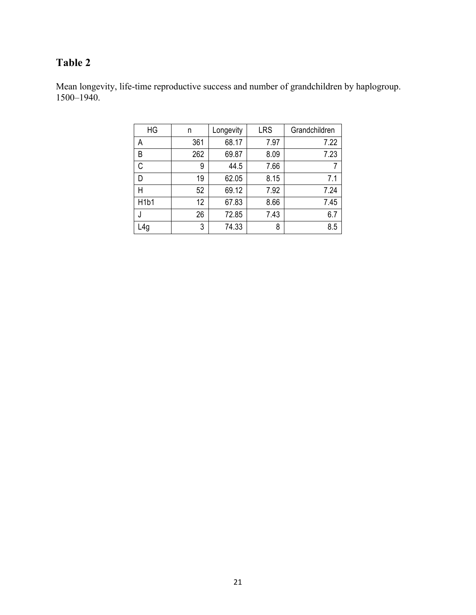### **Table 2**

Mean longevity, life-time reproductive success and number of grandchildren by haplogroup. 1500–1940.

| HG                            | n   | Longevity | <b>LRS</b> | Grandchildren |
|-------------------------------|-----|-----------|------------|---------------|
| A                             | 361 | 68.17     | 7.97       | 7.22          |
| B                             | 262 | 69.87     | 8.09       | 7.23          |
| C                             | 9   | 44.5      | 7.66       | 7             |
| D                             | 19  | 62.05     | 8.15       | 7.1           |
| Н                             | 52  | 69.12     | 7.92       | 7.24          |
| H <sub>1</sub> b <sub>1</sub> | 12  | 67.83     | 8.66       | 7.45          |
|                               | 26  | 72.85     | 7.43       | 6.7           |
| .4g                           | 3   | 74.33     | 8          | 8.5           |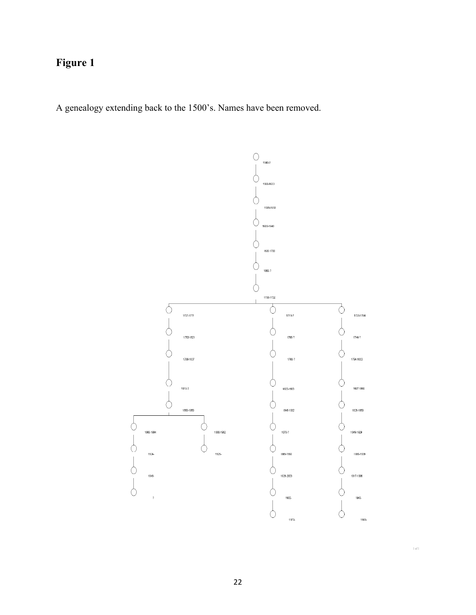## **Figure 1**

A genealogy extending back to the 1500's. Names have been removed.



 $1\,\mathrm{of}\,1$